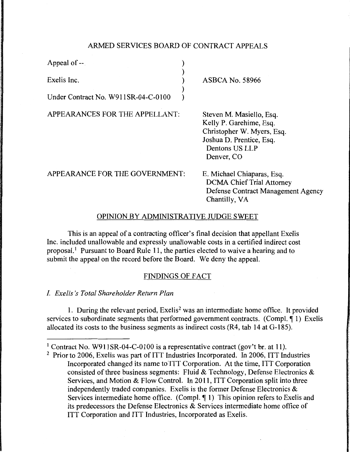## ARMED SERVICES BOARD OF CONTRACT APPEALS

)<br>)

)

Appeal of --

Exelis Inc. )

Under Contract No. W911SR-04-C-0100 )

APPEARANCES FOR THE APPELLANT:

ASBCA No. 58966

Steven M. Masiello, Esq. Kelly P. Garehime, Esq. Christopher W. Myers, Esq. Joshua D. Prentice, Esq. Dentons US LLP Denver, CO

APPEARANCE FOR THE GOVERNMENT:

E. Michael Chiaparas, Esq. DCMA Chief Trial Attorney Defense Contract Management Agency Chantilly, VA

## OPINION BY ADMINISTRATIVE JUDGE SWEET

This is an appeal of a contracting officer's final decision that appellant Exelis Inc. included unallowable and expressly unallowable costs in a certified indirect cost proposal.<sup>1</sup> Pursuant to Board Rule 11, the parties elected to waive a hearing and to submit the appeal on the record before the Board. We deny the appeal.

### FINDINGS OF FACT

I. *Exe/is* 's *Total Shareholder Return Plan* 

1. During the relevant period, Exelis<sup>2</sup> was an intermediate home office. It provided services to subordinate segments that performed government contracts. (Compl.  $\P$  1) Exelis allocated its costs to the business segments as indirect costs (R4, tab 14 at G-185).

<sup>&</sup>lt;sup>1</sup> Contract No. W911SR-04-C-0100 is a representative contract (gov't br. at 11).

<sup>2</sup> Prior to 2006, Exelis was part of ITT Industries Incorporated. In 2006, ITT Industries Incorporated changed its name to'ITT Corporation. At the time, ITT Corporation consisted of three business segments: Fluid & Technology, Defense Electronics & Services, and Motion & Flow Control. In 2011, ITT Corporation split into three independently traded companies. Exelis is the former Defense Electronics & Services intermediate home office. (Compl.  $\P$  1) This opinion refers to Exelis and its predecessors the Defense Electronics & Services intermediate home office of ITT Corporation and ITT Industries, Incorporated as Exelis.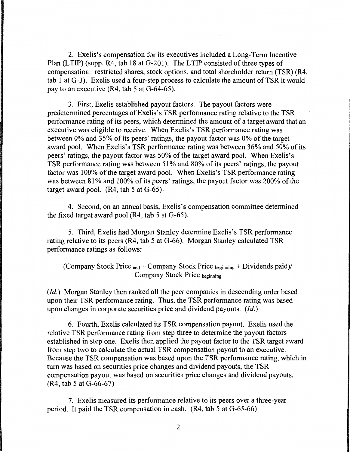2. Exelis's compensation for its executives included a Long-Term Incentive Plan (LTIP) (supp. R4, tab 18 at G-201). The LTIP consisted of three types of compensation: restricted shares, stock options, and total shareholder return (TSR) (R4, tab 1 at G-3). Exelis used a four-step process to calculate the amount of TSR it would pay to an executive (R4, tab 5 at G-64-65).

3. First, Exelis established payout factors. The payout factors were predetermined percentages of Exelis's TSR performance rating relative to the TSR performance rating of its peers, which determined the amount of a target award that an executive was eligible to receive. When Exelis's TSR performance rating was between 0% and 35% of its peers' ratings, the payout factor was 0% of the target award pool. When Exelis's TSR performance rating was between 36% and 50% of its peers' ratings, the payout factor was 50% of the target award pool. When Exelis's TSR performance rating was between 51 % and 80% of its peers' ratings, the payout factor was 100% of the target award pool. When Exelis's TSR performance rating was between 81% and 100% of its peers' ratings, the payout factor was 200% of the target award pool.  $(R4, tab 5 at G-65)$ 

4. Second, on an annual basis, Exelis's compensation committee determined the fixed target award pool (R4, tab 5 at G-65).

5. Third, Exelis had Morgan Stanley determine Exelis's TSR performance rating relative to its peers (R4, tab 5 at G-66). Morgan Stanley calculated TSR performance ratings as follows:

(Company Stock Price  $_{end}$  - Company Stock Price  $_{beginning}$  + Dividends paid)/ Company Stock Price beginning

*(Id.)* Morgan Stanley then ranked all the peer companies in descending order based upon their TSR performance rating. Thus, the TSR performance rating was based upon changes in corporate securities price and dividend payouts. *(Id.)* 

6. Fourth, Exelis calculated its TSR compensation payout. Exelis used the relative TSR performance rating from step three to determine the payout factors established in step one. Exelis then applied the payout factor to the TSR target award from step two to calculate the actual TSR compensation payout to an executive. Because the TSR compensation was based upon the TSR performance rating, which in turn was based on securities price changes and dividend payouts, the TSR compensation payout was based on securities price changes and dividend payouts. (R4, tab 5 at G-66-67)

7. Exelis measured its performance relative to its peers over a three-year period. It paid the TSR compensation in cash. (R4, tab 5 at G-65-66)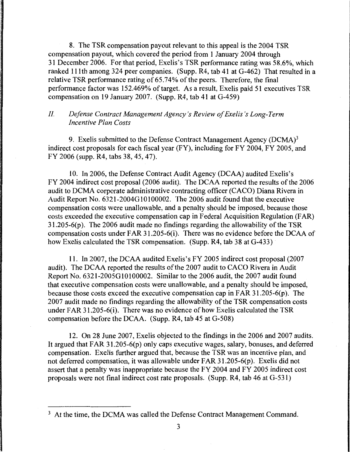8. The TSR compensation payout relevant to this appeal is the 2004 TSR compensation payout, which covered the period from I January 2004 through 31December2006. For that period, Exelis's TSR performance rating was 58.6%, which ranked 11 lth among 324 peer companies. (Supp. R4, tab 41 at G-462) That resulted in a relative TSR performance rating of 65.74% of the peers. Therefore, the final performance factor was 152.469% of target. As a result, Exelis paid 51 executives TSR compensation on 19 January 2007. (Supp. R4, tab 41 at G-459)

# II. *Defense Contract Management Agency's Review of Exe/is 's Long-Term Incentive Plan Costs*

9. Exelis submitted to the Defense Contract Management Agency  $(DCMA)^3$ indirect cost proposals for each fiscal year (FY), including for FY 2004, FY 2005, and FY 2006 (supp. R4, tabs 38, 45, 47).

10. In 2006, the Defense Contract Audit Agency (DCAA) audited Exelis's FY 2004 indirect cost proposal (2006 audit). The DCAA reported the results of the 2006 audit to DCMA corporate administrative contracting officer (CACO) Diana Rivera in Audit Report No. 6321-2004G10100002. The 2006 audit found that the executive compensation costs were unallowable, and a penalty should be imposed, because those costs exceeded the executive compensation cap in Federal Acquisition Regulation (FAR)  $31.205-6(p)$ . The 2006 audit made no findings regarding the allowability of the TSR compensation costs under FAR 3 l .205-6(i). There was no evidence before the DCAA of how Exelis calculated the TSR compensation. (Supp. R4, tab 38 at G-433)

11. In 2007, the DCAA audited Exelis' s FY 2005 indirect cost proposal (2007 audit). The DCAA reported the results of the 2007 audit to CACO Rivera in Audit Report No. 6321-2005G10100002. Similar to the 2006 audit, the 2007 audit found that executive compensation costs were unallowable, and a penalty should be imposed, because those costs exceed the executive compensation cap in FAR 31.205-6(p ). The 2007 audit made no findings regarding the allowability of the TSR compensation costs under FAR 31.205-6(i). There was no evidence of how Exelis calculated the TSR compensation before the DCAA. (Supp. R4, tab 45 at G-508)

12. On 28 June 2007, Exelis objected to the findings in the 2006 and 2007 audits. It argued that FAR 31.205-6(p) only caps executive wages, salary, bonuses, and deferred compensation. Exelis further argued that, because the TSR was an incentive plan, and not deferred compensation, it was allowable under FAR 3 l .205-6(p ). Exelis did not assert that a penalty was inappropriate because the FY 2004 and FY 2005 indirect cost proposals were not final indirect cost rate proposals. (Supp. R4, tab 46 at G-531)

<sup>&</sup>lt;sup>3</sup> At the time, the DCMA was called the Defense Contract Management Command.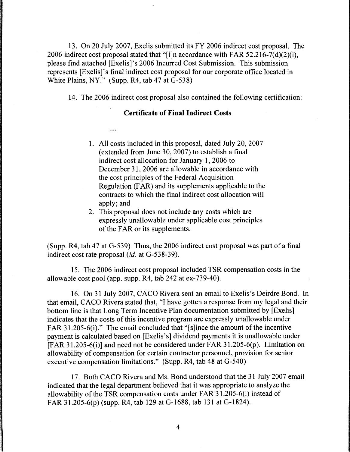13. On 20 July 2007, Exelis submitted its FY 2006 indirect cost proposal. The 2006 indirect cost proposal stated that "[i]n accordance with FAR 52.216-7(d)(2)(i), please find attached [Exelis]'s 2006 Incurred Cost Submission. This submission represents [Exelis]'s final indirect cost proposal for our corporate office located in White Plains, NY." (Supp. R4, tab 47 at G-538)

14. The 2006 indirect cost proposal also contained the following certification:

## Certificate of Final Indirect Costs

 $\cdots$ 

- 1. All costs included in this proposal, dated July 20, 2007 (extended from June 30,  $2007$ ) to establish a final indirect cost allocation for January 1, 2006 to December 31, 2006 are allowable in accordance with the cost principles of the Federal Acquisition Regulation (FAR) and its supplements applicable to the contracts to which the final indirect cost allocation will apply; and
- 2. This proposal does not include any costs which are expressly unallowable under applicable cost principles of the FAR or its supplements.

(Supp. R4, tab 47 at G-539) Thus, the 2006 indirect cost proposal was part of a final indirect cost rate proposal *(id.* at G-538-39).

15. The 2006 indirect cost proposal included TSR compensation costs in the allowable cost pool (app. supp. R4, tab 242 at ex-739-40).

16. On 31 July 2007, CACO Rivera sent an email to Exelis's Deirdre Bond. In that email, CACO Rivera stated that, "I have gotten a response from my legal and their bottom line is that Long Term Incentive Plan documentation submitted by [Exelis] indicates that the costs of this incentive program are expressly unallowable under FAR 31.205-6(i)." The email concluded that "[s]ince the amount of the incentive payment is calculated based on [Exelis's] dividend payments it is unallowable under [FAR 31.205-6(i)] and need not be considered under FAR 31.205-6(p ). Limitation on allowability of compensation for certain contractor personnel, provision for senior executive compensation limitations." (Supp. R4, tab 48 at G-540)

17. Both CACO Rivera and Ms. Bond understood that the 31 July 2007 email indicated that the legal department believed that it was appropriate to analyze the allowability of the TSR compensation costs under FAR 31.205-6(i) instead of FAR 31.205-6(p) (supp. R4, tab 129 at G-1688, tab 131 at G-1824).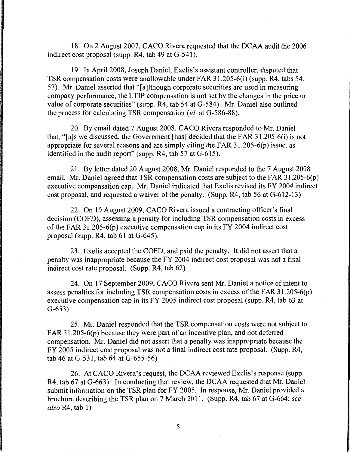18. On 2 August 2007, CACO Rivera requested that the DCAA audit the 2006 indirect cost proposal (supp. R4, tab 49 at G-541).

19. In April 2008, Joseph Daniel, Exelis's assistant controller, disputed that TSR compensation costs were unallowable under FAR 31.205-6(i) (supp. R4, tabs 54, 57). Mr. Daniel asserted that "[a]lthough corporate securities are used in measuring company performance, the L TIP compensation is not set by the changes in the price or value of corporate securities" (supp. R4, tab 54 at G-584). Mr. Daniel also outlined the process for calculating TSR compensation *(id.* at G-586-88).

20. By email dated 7 August 2008, CACO Rivera responded to Mr. Daniel that, "[a]s we discussed, the Government [has] decided that the FAR 31.205-6(i) is not appropriate for several reasons and are simply citing the FAR 3 l .205-6(p) issue, as identified in the audit report" (supp. R4, tab 57 at G-615).

21. By letter dated 20 August 2008, Mr. Daniel responded to the 7 August 2008 email. Mr. Daniel agreed that TSR compensation costs are subject to the FAR 31.205-6(p) executive compensation cap. Mr. Daniel indicated that Exelis revised its FY 2004 indirect cost proposal, and requested a waiver of the penalty. (Supp. R4, tab 56 at G-612-13)

22. On 10 August 2009, CACO Rivera issued a contracting officer's final decision (COFD), assessing a penalty for including TSR compensation costs in excess of the FAR 31.205-6(p) executive compensation cap in its FY 2004 indirect cost proposal (supp. R4, tab 61 at G-645).

23. Exelis accepted the COFD, and paid the penalty. It did not assert that a penalty was inappropriate because the FY 2004 indirect cost proposal was not a final indirect cost rate proposal. (Supp. R4, tab 62)

24. On 17 September 2009, CACO Rivera sent Mr. Daniel a notice of intent to assess penalties for including TSR compensation costs in excess of the FAR 31.205-6(p) executive compensation cap in its FY 2005 indirect cost proposal (supp. R4, tab 63 at G-653).

25. Mr. Daniel responded that the TSR compensation costs were not subject to FAR 31.205-6(p) because they were part of an incentive plan, and not deferred compensation. Mr. Daniel did not assert that a penalty was inappropriate because the FY 2005 indirect cost proposal was not a final indirect cost rate proposal. (Supp. R4, tab 46 at G-531, tab 64 at G-655-56)

26. At CACO Rivera's request, the DCAA reviewed Exelis's response (supp. R4, tab 67 at G-663). In conducting that review, the DCAA requested that Mr. Daniel submit information on the TSR plan for FY 2005. In response, Mr. Daniel provided a brochure describing the TSR plan on 7 March 2011. (Supp. R4, tab 67 at G-664; *see also* R4, tab 1)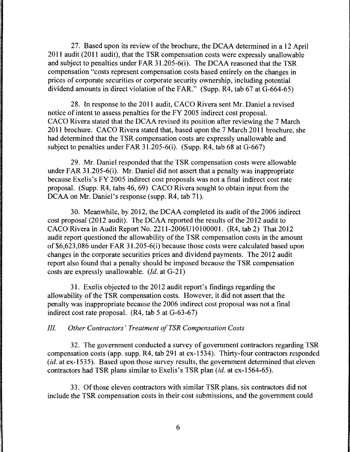27. Based upon its review of the brochure, the DCAA determined in a 12 April 2011 audit (2011 audit), that the TSR compensation costs were expressly unallowable and subject to penalties under FAR 31.205-6(i). The DCAA reasoned that the TSR compensation "costs represent compensation costs based entirely on the changes in prices of corporate securities or corporate security ownership, including potential dividend amounts in direct violation of the FAR." (Supp.  $R<sup>4</sup>$ , tab 67 at  $G$ -664-65)

28. In response to the 2011 audit, CACO Rivera sent Mr. Daniel a revised notice of intent to assess penalties for the FY 2005 indirect cost proposal. CACO Rivera stated that the DCAA revised its position after reviewing the 7 March 2011 brochure. CACO Rivera stated that, based upon the 7 March 2011 brochure, she had determined that the TSR compensation costs are expressly unallowable and subject to penalties under FAR 31.205-6(i). (Supp. R4, tab 68 at  $G$ -667)

29. Mr. Daniel responded that the TSR compensation costs were allowable under FAR 31.205-6(i). Mr. Daniel did not assert that a penalty was inappropriate because Exelis's FY 2005 indirect cost proposals was not a final indirect cost rate proposal. (Supp. R4, tabs 46, 69) CACO Rivera sought to obtain input from the DCAA on Mr. Daniel's response (supp. R4, tab 71).

30. Meanwhile, by 2012, the DCAA completed its audit of the 2006 indirect cost proposal (2012 audit). The DCAA reported the results of the 2012 audit to CACO Rivera in Audit Report No. 2211-2006U10100001. (R4, tab 2) That 2012 audit report questioned the allowability of the TSR compensation costs in the amount of \$6,623 ,086 under FAR 31.205-6(i) because those costs were calculated based upon changes in the corporate securities prices and dividend payments. The 2012 audit report also found that a penalty should be imposed because the TSR compensation costs are expressly unallowable. *(Id.* at G-21)

31. Exelis objected to the 2012 audit report's findings regarding the allowability of the TSR compensation costs. However, it did not assert that the penalty was inappropriate because the 2006 indirect cost proposal was not a final indirect cost rate proposal. (R4, tab 5 at G-63-67)

## *III. Other Contractors' Treatment of TSR Compensation Costs*

32. The government conducted a survey of government contractors regarding TSR compensation costs (app. supp. R4, tab 291 at ex-1534). Thirty-four contractors responded (*id.* at ex-1535). Based upon those survey results, the government determined that eleven contractors had TSR plans similar to Exelis's TSR plan *(id.* at ex-1564-65).

33. Of those eleven contractors with similar TSR plans, six contractors did not include the TSR compensation costs in their cost submissions, and the government could .

6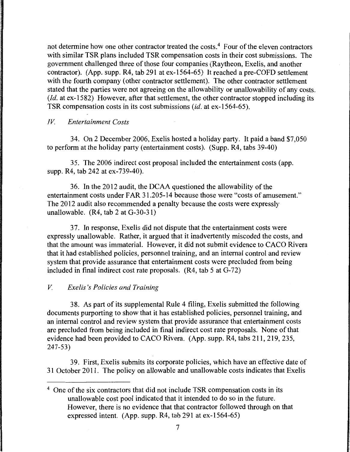not determine how one other contractor treated the costs.<sup>4</sup> Four of the eleven contractors with similar TSR plans included TSR compensation costs in their cost submissions. The government challenged three of those four companies (Raytheon, Exelis, and another contractor). (App. supp. R4, tab 291 at ex-1564-65) It reached a pre-COFD settlement with the fourth company (other contractor settlement). The other contractor settlement stated that the parties were not agreeing on the allowability or unallowability of any costs. (*Id.* at ex-1582) However, after that settlement, the other contractor stopped including its TSR compensation costs in its cost submissions *(id.* at ex-1564-65).

### *IV. Entertainment Costs*

34. On 2 December 2006, Exelis hosted a holiday party. It paid a band \$7,050 to perform at the holiday party (entertainment costs). (Supp. R4, tabs 39-40)

35. The 2006 indirect cost proposal included the entertainment costs (app. supp. R4, tab 242 at ex-739-40).

36. In the 2012 audit, the DCAA questioned the allowability of the entertainment costs under FAR 31.205-14 because those were "costs of amusement." The 2012 audit also recommended a penalty because the costs were expressly unallowable. (R4, tab 2 at G-30-31)

3 7. In response, Exelis did not dispute that the entertainment costs were expressly unallowable. Rather, it argued that it inadvertently miscoded the costs, and that the amount was immaterial. However, it did not submit evidence to CACO Rivera that it had established policies, personnel training, and an internal control and review system that provide assurance that entertainment costs were precluded from being included in final indirect cost rate proposals. (R4, tab 5 at G-72)

### *V. Exe/is 's Policies and Training*

38. As part of its supplemental Rule 4 filing, Exelis submitted the following documents purporting to show that it has established policies, personnel training, and an internal control and review system that provide assurance that entertainment costs are precluded from being included in final indirect cost rate proposals. None of that evidence had been provided to CACO Rivera. (App. supp. R4, tabs 211, 219, 235, 247-53)

39. First, Exelis submits its corporate policies, which have an effective date of 31 October 2011. The policy on allowable and unallowable costs indicates that Exelis

<sup>&</sup>lt;sup>4</sup> One of the six contractors that did not include TSR compensation costs in its unallowable cost pool indicated that it intended to do so in the future. However, there is no evidence that that contractor followed through on that expressed intent. (App. supp. R4, tab 291 at ex-1564-65)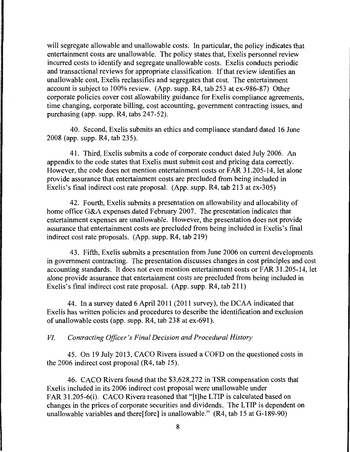will segregate allowable and unallowable costs. In particular, the policy indicates that entertainment costs are unallowable. The policy states that, Exelis personnel review incurred costs to identify and segregate unallowable costs. Exelis conducts periodic and transactional reviews for appropriate classification. If that review identifies an unallowable cost, Exelis reclassifies and segregates that cost. The entertainment account is subject to 100% review. (App. supp. R4, tab 253 at ex-986-87) Other corporate policies cover cost allowability guidance for Exelis compliance agreements, time changing, corporate billing, cost accounting, government contracting issues, and purchasing (app. supp. R4, tabs 247-52).

40. Second, Exelis submits an ethics and compliance standard dated 16 June 2008 (app. supp. R4, tab 235).

41. Third, Exelis submits a code of corporate conduct dated July 2006. An appendix to the code states that Exelis must submit cost and pricing data correctly. However, the code does not mention entertainment costs or FAR 31.205-14, let alone provide assurance that entertainment costs are precluded from being included in Exelis's final indirect cost rate proposal. (App. supp. R4, tab 213 at ex-305)

42. Fourth, Exelis submits a presentation on allowability and allocability of home office G&A expenses dated February 2007. The presentation indicates that entertainment expenses are unallowable. However, the presentation does not provide assurance that entertainment costs are precluded from being included in Exelis's final indirect cost rate proposals. (App. supp. R4, tab 219)

43. Fifth, Exelis submits a presentation from June 2006 on current developments in government contracting. The presentation discusses changes in cost principles and cost accounting standards. It does not even mention entertainment costs or FAR 31.205-14, let alone provide assurance that entertainment costs are precluded from being included in Exelis's final indirect cost rate proposal. (App. supp. R4, tab 211)

44. In a survey dated 6 April 2011 (2011 survey), the DCAA indicated that Exelis has written policies and procedures to describe the identification and exclusion of unallowable costs (app. supp. R4, tab 238 at ex-691).

*VI. Contracting Officer's Final Decision and Procedural History* 

45. On 19 July 2013, CACO Rivera issued a COFD on the questioned costs in the 2006 indirect cost proposal (R4, tab 15).

46. CACO Rivera found that the \$3,628,272 in TSR compensation costs that Exelis included in its 2006 indirect cost proposal were unallowable under FAR 31.205-6(i). CACO Rivera reasoned that "[t]he LTIP is calculated based on changes in the prices of corporate securities and dividends. The L TIP is dependent on unallowable variables and there[fore] is unallowable." (R4, tab 15 at G-189-90)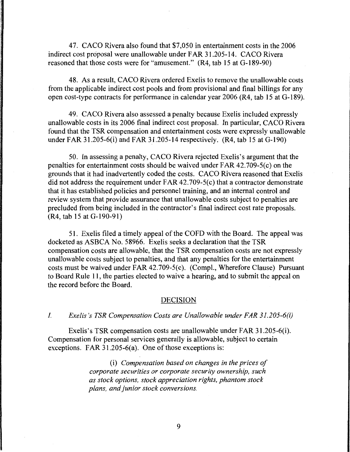47. CACO Rivera also found that \$7,050 in entertainment costs in the 2006 indirect cost proposal were unallowable under FAR 31.205-14. CACO Rivera reasoned that those costs were for "amusement." (R4, tab 15 at G-189-90)

48. As a result, CACO Rivera ordered Exelis to remove the unallowable costs from the applicable indirect cost pools and from provisional and final billings for any open cost-type contracts for performance in calendar year 2006 (R4, tab 15 at G-189).

49. CACO Rivera also assessed a penalty because Exelis included expressly unallowable costs in its 2006 final indirect cost proposal. In particular, CACO Rivera found that the TSR compensation and entertainment costs were expressly unallowable under FAR 31.205-6(i) and FAR 3L205-14 respectively. (R4, tab 15 at G-190)

50. In assessing a penalty, CACO Rivera rejected Exelis's argument that the penalties for entertainment costs should be waived under FAR 42.709-5(c) on the grounds that it had inadvertently coded the costs. CACO Rivera reasoned that Exelis did not address the requirement under  $FAR$  42.709-5(c) that a contractor demonstrate that it has established policies and personnel training, and an internal control and review system that provide assurance that unallowable costs subject to penalties are precluded from being included in the contractor's final indirect cost rate proposals. (R4, tab 15 at G-190-91)

51. Exelis filed a timely appeal of the COFD with the Board. The appeal was docketed as ASBCA No. 58966. Exelis seeks a declaration that the TSR compensation costs are allowable, that the TSR compensation costs are not expressly unallowable costs subject to penalties, and that any penalties for the entertainment costs must be waived under FAR 42.709-5(c). (Compl., Wherefore Clause) Pursuant to Board Rule 11, the parties elected to waive a hearing, and to submit the appeal on the record before the Board.

### DECISION

#### I. *Exe/is 's TSR Compensation Costs are Unallowable under FAR 31.205-6(i)*

Exelis's TSR compensation costs are unallowable under FAR 3 l .205-6(i). Compensation for personal services generally is allowable, subject to certain exceptions. FAR  $31.205-6(a)$ . One of those exceptions is:

> (i) *Compensation based on changes in the prices of corporate securities or corporate security ownership, such as stock options, stock appreciation rights, phantom stock plans, and junior stock conversions.*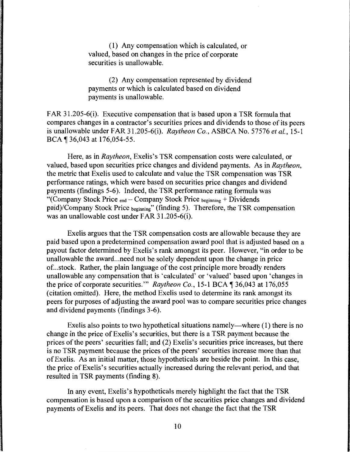( 1) Any compensation which is calculated, or valued, based on changes in the price of corporate securities is unallowable.

(2) Any compensation represented by dividend payments or which is calculated based on dividend payments is unallowable.

FAR 31.205-6(i). Executive compensation that is based upon a TSR formula that compares changes in a contractor's securities prices and dividends to those of its peers is unallowable under FAR 31.205-6(i). *Raytheon Co.,* ASBCA No. 57576 *et al.,* 15-1 BCA ¶ 36,043 at 176,054-55.

Here, as in *Raytheon*, Exelis's TSR compensation costs were calculated, or valued, based upon securities price changes and dividend payments. As in *Raytheon,*  the metric that Exelis used to calculate and value the TSR compensation was TSR performance ratings, which were based on securities price changes and dividend payments (findings 5-6). Indeed, the TSR performance rating formula was "(Company Stock Price  $_{end}$  – Company Stock Price  $_{beginning}$  + Dividends paid)/Company Stock Price beginning" (finding 5). Therefore, the TSR compensation was an unallowable cost under FAR 31.205-6(i).

Exelis argues that the TSR compensation costs are allowable because they are paid based upon a predetermined compensation award pool that is adjusted based on a payout factor determined by Exelis's rank amongst its peer. However, "in order to be unallowable the award ... need not be solely dependent upon the change in price of ... stock. Rather, the plain language of the cost principle more broadly renders unallowable any compensation that is 'calculated' or 'valued' based upon 'changes in the price of corporate securities." *Raytheon Co.*, 15-1 BCA 1 36,043 at 176,055 (citation omitted). Here, the method Exelis used to determine its rank amongst its peers for purposes of adjusting the award pool was to compare securities price changes and dividend payments (findings 3-6).

Exelis also points to two hypothetical situations namely—where  $(1)$  there is no change in the price of Exelis's securities, but there is a TSR payment because the prices of the peers' securities fall; and (2) Exelis's securities price increases, but there is no TSR payment because the prices of the peers' securities increase more than that of Exelis. As an initial matter, those hypotheticals are beside the point. In this case, the price of Exelis's securities actually increased during the relevant period, and that resulted in TSR payments (finding 8).

In any event, Exelis's hypotheticals merely highlight the fact that the TSR compensation is based upon a comparison of the securities price changes and dividend payments of Exelis and its peers. That does not change the fact that the TSR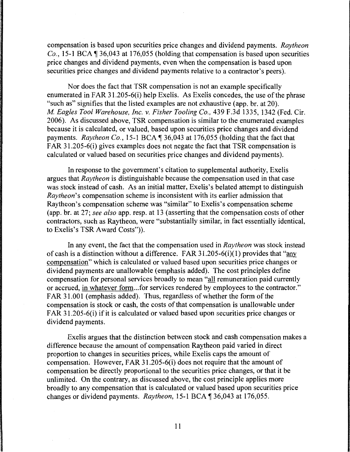compensation is based upon securities price changes and dividend payments. *Raytheon Co.*, 15-1 BCA  $\P$  36,043 at 176,055 (holding that compensation is based upon securities price changes and dividend payments, even when the compensation is based upon securities price changes and dividend payments relative to a contractor's peers).

Nor does the fact that TSR compensation is not an example specifically enumerated in FAR 31.205-6(i) help Exelis. As Exelis concedes, the use of the phrase "such as" signifies that the listed examples are not exhaustive (app. hr. at 20). *M Eagles Tool Warehouse, Inc. v. Fisher Tooling Co.,* 439 F.3d 1335, 1342 (Fed. Cir. 2006). As discussed above, TSR compensation is similar to the enumerated examples because it is calculated, or valued, based upon securities price changes and dividend payments. *Raytheon Co.*, 15-1 BCA \ 36,043 at 176,055 (holding that the fact that FAR 31.205-6(i) gives examples does not negate the fact that TSR compensation is calculated or valued based on securities price changes and dividend payments).

In response to the government's citation to supplemental authority, Exelis argues that *Raytheon* is distinguishable because the compensation used in that case was stock instead of cash. As an initial matter, Exelis's belated attempt to distinguish *Raytheon's* compensation scheme is inconsistent with its earlier admission that Raytheon's compensation scheme was "similar" to Exelis's compensation scheme (app. hr. at 27; *see also* app. resp. at 13 (asserting that the compensation costs of other contractors, such as Raytheon, were "substantially similar, in fact essentially identical, to Exelis's TSR Award Costs")).

In any event, the fact that the compensation used in *Raytheon* was stock instead of cash is a distinction without a difference. FAR 31.205-6(i)(1) provides that "any compensation" which is calculated or valued based upon securities price changes or dividend payments are unallowable (emphasis added). The cost principles define compensation for personal services broadly to mean "all remuneration paid currently or accrued, in whatever form ... for services rendered by employees to the contractor." FAR 31.001 (emphasis added). Thus, regardless of whether the form of the compensation is stock or cash, the costs of that compensation is unallowable under FAR 31.205-6(i) if it is calculated or valued based upon securities price changes or dividend payments.

Exelis argues that the distinction between stock and cash compensation makes a difference because the amount of compensation Raytheon paid varied in direct proportion to changes in securities prices, while Exelis caps the amount of compensation. However, FAR 31.205-6(i) does not require that the amount of compensation be directly proportional to the securities price changes, or that it be unlimited. On the contrary, as discussed above, the cost principle applies more broadly to any compensation that is calculated or valued based upon securities price changes or dividend payments. *Raytheon*, 15-1 BCA | 36,043 at 176,055.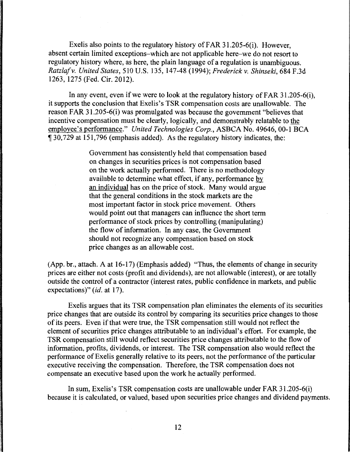Exelis also points to the regulatory history of FAR 31.205-6(i). However, absent certain limited exceptions-which are not applicable here-we do not resort to regulatory history where, as here, the plain language of a regulation is unambiguous. *Ratzlaf* v. *United States,* 510 U.S. 135, 147-48 (1994); *Frederick* v. *Shinseki,* 684 F.3d 1263, 1275 (Fed. Cir. 2012).

In any event, even if we were to look at the regulatory history of FAR 31.205-6(i), it supports the conclusion that Exelis's TSR compensation costs are unallowable. The reason FAR 31.205-6(i) was promulgated was because the government "believes that incentive compensation must be clearly, logically, and demonstrably relatable to the employee's performance." *United Technologies Corp.,* ASBCA No. 49646, 00-1 BCA <sup>~</sup>30, 729 at 151, 796 (emphasis added). As the regulatory history indicates, the:

> Government has consistently held that compensation based on changes in securities prices is not compensation based on the work actually performed. There is no methodology available to determine what effect, if any, performance by an individual has on the price of stock. Many would argue that the general conditions in the stock markets are the most important factor in stock price movement. Others would point out that managers can influence the short term performance of stock prices by controlling (manipulating) the flow of information. In any case, the Government should not recognize any compensation based on stock price changes as an allowable cost.

(App. br., attach. A at 16-17) (Emphasis added) "Thus, the elements of change in security prices are either not costs (profit and dividends), are not allowable (interest), or are totally outside the control of a contractor (interest rates, public confidence in markets, and public expectations)" *(id.* at 17).

Exelis argues that its TSR compensation plan eliminates the elements of its securities price changes that are outside its control by comparing its securities price changes to those of its peers. Even ifthat were true, the TSR compensation still would not reflect the element of securities price changes attributable to an individual's effort. For example, the TSR compensation still would reflect securities price changes attributable to the flow of information, profits, dividends, or interest. The TSR compensation also would reflect the performance of Exelis generally relative to its peers, not the performance of the particular executive receiving the compensation. Therefore, the TSR compensation does not compensate an executive based upon the work he actually performed.

In sum, Exelis's TSR compensation costs are unallowable under FAR 31.205-6(i) because it is calculated, or valued, based upon securities price changes and dividend payments.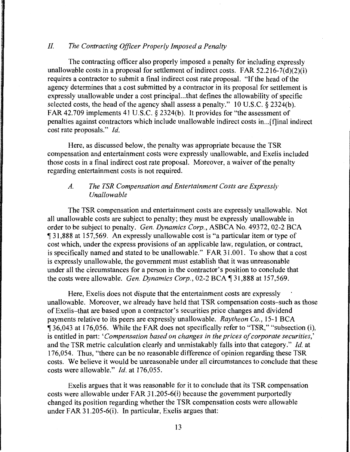### II. *The Contracting Officer Properly Imposed a Penalty*

The contracting officer also properly imposed a penalty for including expressly unallowable costs in a proposal for settlement of indirect costs. FAR  $52.216 - 7(d)(2)(i)$ requires a contractor to submit a final indirect cost rate proposal. "If the head of the agency determines that a cost submitted by a contractor in its proposal for settlement is expressly unallowable under a cost principal...that defines the allowability of specific selected costs, the head of the agency shall assess a penalty." 10 U.S.C. § 2324(b). FAR 42.709 implements 41 U.S.C. § 2324(b). It provides for "the assessment of penalties against contractors which include unallowable indirect costs in ... [f]inal indirect cost rate proposals." *Id.* 

Here, as discussed below, the penalty was appropriate because the TSR compensation and entertainment costs were expressly unallowable, and Exelis included those costs in a final indirect cost rate proposal. Moreover, a waiver of the penalty regarding entertainment costs is not required.

# *A. The TSR Compensation and Entertainment Costs are Expressly Unallowable*

The TSR compensation and entertainment costs are expressly unallowable. Not all unallowable costs are subject to penalty; they must be expressly unallowable in order to be subject to penalty. *Gen. Dynamics Corp.,* ASBCA No. 49372, 02-2 BCA 131,888 at 157,569. An expressly unallowable cost is "a particular item or type of cost which, under the express provisions of an applicable law, regulation, or contract, is specifically named and stated to be unallowable." FAR 31.001. To show that a cost is expressly unallowable, the government must establish that it was unreasonable under all the circumstances for a person in the contractor's position to conclude that the costs were allowable. *Gen. Dynamics Corp.*, 02-2 BCA 131,888 at 157,569.

Here, Exelis does not dispute that the entertainment costs are expressly unallowable. Moreover, we already have held that TSR compensation costs-such as those of Exelis-that are based upon a contractor's securities price changes and dividend payments relative to its peers are expressly unallowable. *Raytheon Co.,* 15-1 BCA 136,043 at 176,056. While the FAR does not specifically refer to "TSR," "subsection (i), is entitled in part: *'Compensation based on changes in the prices of corporate securities,'*  and the TSR metric calculation clearly and unmistakably falls into that category." *Id.* at 176,054. Thus, "there can be no reasonable difference of opinion regarding these TSR costs. We believe it would be unreasonable under all circumstances to conclude that these costs were allowable." *Id.* at 176,055.

Exelis argues that it was reasonable for it to conclude that its TSR compensation costs were allowable under FAR 3 l .205-6(i) because the government purportedly changed its position regarding whether the TSR compensation costs were allowable under FAR 31.205-6(i). In particular, Exelis argues that: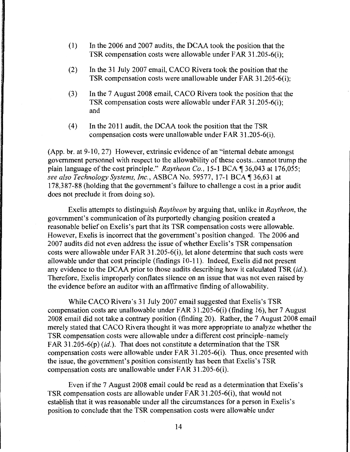- ( 1) In the 2006 and 2007 audits, the DCAA took the position that the TSR compensation costs were allowable under FAR 31.205-6(i);
- (2) In the 31 July 2007 email, CACO Rivera took the position that the TSR compensation costs were unallowable under FAR 31.205-6(i);
- (3) In the 7 August 2008 email, CACO Rivera took the position that the TSR compensation costs were allowable under FAR 31.205-6(i); and
- ( 4) In the 2011 audit, the DCAA took the position that the TSR compensation costs were unallowable under FAR 31.205-6(i).

(App. hr. at 9-10, 27) However, extrinsic evidence of an "internal debate amongst government personnel with respect to the allowability of these costs ... cannot trump the plain language of the cost principle." *Raytheon Co.*, 15-1 BCA ¶ 36,043 at 176,055; *see also Technology Systems, Inc., ASBCA No. 59577, 17-1 BCA* 136,631 at 178,387-88 (holding that the government's failure to challenge a cost in a prior audit does not preclude it from doing so).

Exelis attempts to distinguish *Raytheon* by arguing that, unlike in *Raytheon,* the government's communication of its purportedly changing position created a reasonable belief on Exelis's part that its TSR compensation costs were allowable. However, Exelis is incorrect that the government's position changed. The 2006 and 2007 audits did not even address the issue of whether Exelis's TSR compensation costs were allowable under FAR 31.205-6(i), let alone determine that such costs were allowable under that cost principle (findings 10-11 ). Indeed, Exelis did not present any evidence to the DCAA prior to those audits describing how it calculated TSR *(id.).*  Therefore, Exelis improperly conflates silence on an issue that was not even raised by the evidence before an auditor with an affirmative finding of allowability.

While CACO Rivera's 31 July 2007 email suggested that Exelis's TSR compensation costs are unallowable under FAR 31.205-6(i) (finding 16), her 7 August 2008 email did not take a contrary position (finding 20). Rather, the 7 August 2008 email merely stated that CACO Rivera thought it was more appropriate to analyze whether the TSR compensation costs were allowable under a different cost principle-namely FAR 31.205-6(p)  $(id.)$ . That does not constitute a determination that the TSR compensation costs were allowable under FAR 31.205-6(i). Thus, once presented with the issue, the government's position consistently has been that Exelis's TSR compensation costs are unallowable under FAR 3 l .205-6(i).

Even if the 7 August 2008 email could be read as a determination that Exelis's TSR compensation costs are allowable under FAR 31.205-6(i), that would not establish that it was reasonable under all the circumstances for a person in Exelis's position to conclude that the TSR compensation costs were allowable under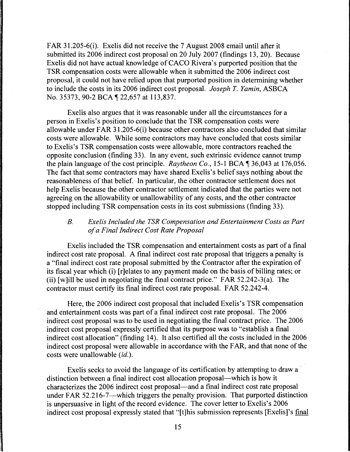FAR 31.205-6(i). Exelis did not receive the 7 August 2008 email until after it submitted its 2006 indirect cost proposal on 20 July 2007 (findings 13, 20). Because Exelis did not have actual knowledge of CACO Rivera's purported position that the TSR compensation costs were allowable when it submitted the 2006 indirect cost proposal, it could not have relied upon that purported position in determining whether to include the costs in its 2006 indirect cost proposal. *Joseph T. Yamin,* ASBCA No. 35373, 90-2 BCA 122,657 at 113,837.

Exelis also argues that it was reasonable under all the circumstances for a person in Exelis's position to conclude that the TSR compensation costs were allowable under FAR 3 1.205-6(i) because other contractors also concluded that similar costs were allowable. While some contractors may have concluded that costs similar to Exelis's TSR compensation costs were allowable, more contractors reached the opposite conclusion (finding 33). In any event, such extrinsic evidence cannot trump the plain language of the cost principle. *Raytheon Co.*, 15-1 BCA 136,043 at 176,056. The fact that some contractors may have shared Exelis's belief says nothing about the reasonableness of that belief. In particular, the other contractor settlement does not help Exelis because the other contractor settlement indicated that the parties were not agreeing on the allowability or unallowability of any costs, and the other contractor stopped including TSR compensation costs in its cost submissions (finding 33).

# *B. Exe/is Included the TSR Compensation and Entertainment Costs as Part of a Final Indirect Cost Rate Proposal*

Exelis included the TSR compensation and entertainment costs as part of a final indirect cost rate proposal. A final indirect cost rate proposal that triggers a penalty is a "final indirect cost rate proposal submitted by the Contractor after the expiration of its fiscal year which (i) [r]elates to any payment made on the basis of billing rates; or (ii) [w]ill be used in negotiating the final contract price." FAR  $52.242-3(a)$ . The contractor must certify its final indirect cost rate proposal. FAR 52.242-4.

Here, the 2006 indirect cost proposal that included Exelis's TSR compensation and entertainment costs was part of a final indirect cost rate proposal. The 2006 indirect cost proposal was to be used in negotiating the final contract price. The 2006 indirect cost proposal expressly certified that its purpose was to "establish a final indirect cost allocation" (finding 14). It also certified all the costs included in the 2006 indirect cost proposal were allowable in accordance with the FAR, and that none of the costs were unallowable *(id.).* 

Exelis seeks to avoid the language of its certification by attempting to draw a distinction between a final indirect cost allocation proposal—which is how it characterizes the 2006 indirect cost proposal-and a final indirect cost rate proposal under FAR 52.216-7-which triggers the penalty provision. That purported distinction is unpersuasive in light of the record evidence. The cover letter to Exelis's 2006 indirect cost proposal expressly stated that "[t]his submission represents [Exelis]'s final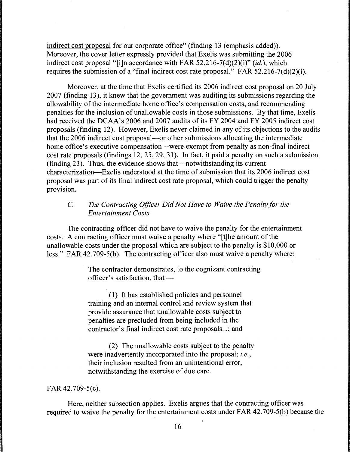indirect cost proposal for our corporate office" (finding 13 (emphasis added)). Moreover, the cover letter expressly provided that Exelis was submitting the 2006 indirect cost proposal "[i]n accordance with FAR 52.216-7(d)(2)(i)" (id.), which requires the submission of a "final indirect cost rate proposal." FAR 52.216-7(d)(2)(i).

Moreover, at the time that Exelis certified its 2006 indirect cost proposal on 20 July 2007 (finding 13), it knew that the government was auditing its submissions regarding the allowability of the intermediate home office's compensation costs, and recommending penalties for the inclusion of unallowable costs in those submissions. By that time, Exelis had received the DCAA's 2006 and 2007 audits of its FY 2004 and FY 2005 indirect cost proposals (finding 12). However, Exelis never claimed in any of its objections to the audits that the 2006 indirect cost proposal--or other submissions allocating the intermediate home office's executive compensation—were exempt from penalty as non-final indirect cost rate proposals (findings 12, 25, 29, 31 ). In fact, it paid a penalty on such a submission  $(finding 23)$ . Thus, the evidence shows that—notwithstanding its current characterization-Exelis understood at the time of submission that its 2006 indirect cost proposal was part of its final indirect cost rate proposal, which could trigger the penalty provision.

# C. *The Contracting Officer Did Not Have to Waive the Penalty for the Entertainment Costs*

The contracting officer did not have to waive the penalty for the entertainment costs. A contracting officer must waive a penalty where "[t]he amount of the unallowable costs under the proposal which are subject to the penalty is \$10,000 or less." FAR 42.709-5(b). The contracting officer also must waive a penalty where:

> The contractor demonstrates, to the cognizant contracting officer's satisfaction, that  $-$

( 1) It has established policies and personnel training and an internal control and review system that provide assurance that unallowable costs subject to penalties are precluded from being included in the contractor's final indirect cost rate proposals...; and

(2) The unallowable costs subject to the penalty were inadvertently incorporated into the proposal; *i.e.,*  their inclusion resulted from an unintentional error, notwithstanding the exercise of due care.

#### FAR 42.709-5(c).

Here, neither subsection applies. Exelis argues that the contracting officer was required to waive the penalty for the entertainment costs under FAR 42.709-S(b) because the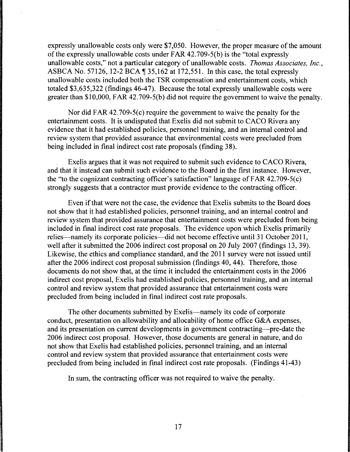expressly unallowable costs only were \$7,050. However, the proper measure of the amount of the expressly unallowable costs under FAR 42. 709-5(b) is the "total expressly unallowable costs," not a particular category of unallowable costs. *Thomas Associates, Inc.,*  ASBCA No. 57126, 12-2 BCA  $\P$  35,162 at 172,551. In this case, the total expressly unallowable costs included both the TSR compensation and entertainment costs, which totaled \$3,635,322 (findings 46-47). Because the total expressly unallowable costs were greater than \$10,000, FAR 42.709-5(b) did not require the government to waive the penalty.

Nor did FAR 42.709-5(c) require the government to waive the penalty for the entertainment costs. It is undisputed that Exelis did not submit to CACO Rivera any evidence that it had established policies, personnel training, and an internal control and review system that provided assurance that environmental costs were precluded from being included in final indirect cost rate proposals (finding 38).

Exelis argues that it was not required to submit such evidence to CACO Rivera, and that it instead can submit such evidence to the Board in the first instance. However, the "to the cognizant contracting officer's satisfaction" language of FAR 42.709-S(c) strongly suggests that a contractor must provide evidence to the contracting officer.

Even if that were not the case, the evidence that Exelis submits to the Board does not show that it had established policies, personnel training, and an internal control and review system that provided assurance that entertainment costs were precluded from being included in final indirect cost rate proposals. The evidence upon which Exelis primarily relies—namely its corporate policies—did not become effective until 31 October 2011, well after it submitted the 2006 indirect cost proposal on 20 July 2007 (findings 13, 39). Likewise, the ethics and compliance standard, and the 2011 survey were not issued until after the 2006 indirect cost proposal submission (findings 40, 44). Therefore, those documents do not show that, at the time it included the entertainment costs in the 2006 indirect cost proposal, Exelis had established policies, personnel training, and an internal control and review system that provided assurance that entertainment costs were precluded from being included in final indirect cost rate proposals.

The other documents submitted by Exelis----namely its code of corporate conduct, presentation on allowability and allocability of home office G&A expenses, and its presentation on current developments in government contracting—pre-date the 2006 indirect cost proposal. However, those documents are general in nature, and do not show that Exelis had established policies, personnel training, and an internal control and review system that provided assurance that entertainment costs were precluded from being included in final indirect cost rate proposals. (Findings 41-43)

In sum, the contracting officer was not required to waive the penalty.